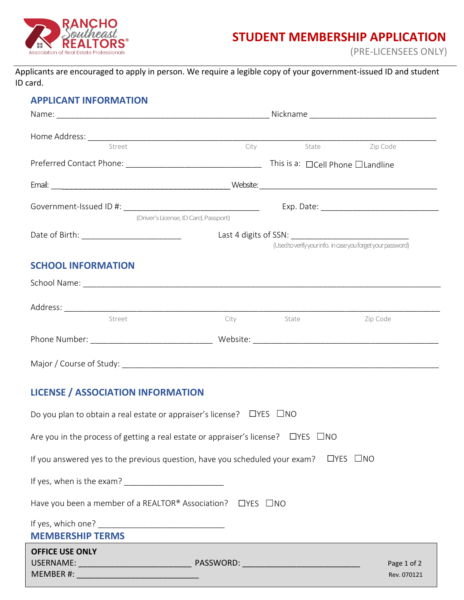

# **STUDENT MEMBERSHIP APPLICATION**

(PRE-LICENSEES ONLY)

Applicants are encouraged to apply in person. We require a legible copy of your government-issued ID and student ID card.

## **APPLICANT INFORMATION**

| Street                                                                                           |                                                              | City State | Zip Code    |
|--------------------------------------------------------------------------------------------------|--------------------------------------------------------------|------------|-------------|
|                                                                                                  |                                                              |            |             |
|                                                                                                  |                                                              |            |             |
|                                                                                                  |                                                              |            |             |
| (Driver's License, ID Card, Passport)                                                            |                                                              |            |             |
|                                                                                                  | (Used to verify your info. in case you forget your password) |            |             |
|                                                                                                  |                                                              |            |             |
| <b>SCHOOL INFORMATION</b>                                                                        |                                                              |            |             |
|                                                                                                  |                                                              |            |             |
|                                                                                                  |                                                              |            |             |
| Street                                                                                           |                                                              | City State | Zip Code    |
|                                                                                                  |                                                              |            |             |
|                                                                                                  |                                                              |            |             |
| <b>LICENSE / ASSOCIATION INFORMATION</b>                                                         |                                                              |            |             |
| Do you plan to obtain a real estate or appraiser's license? $\Box$ YES $\Box$ NO                 |                                                              |            |             |
| Are you in the process of getting a real estate or appraiser's license? $\Box$ YES $\Box$ NO     |                                                              |            |             |
| If you answered yes to the previous question, have you scheduled your exam? $\Box$ YES $\Box$ NO |                                                              |            |             |
|                                                                                                  |                                                              |            |             |
| Have you been a member of a REALTOR® Association? □ YES □ NO                                     |                                                              |            |             |
| <b>MEMBERSHIP TERMS</b>                                                                          |                                                              |            |             |
| <b>OFFICE USE ONLY</b>                                                                           |                                                              |            |             |
|                                                                                                  |                                                              |            | Page 1 of 2 |
| MEMBER #:                                                                                        |                                                              |            | Rev. 070121 |